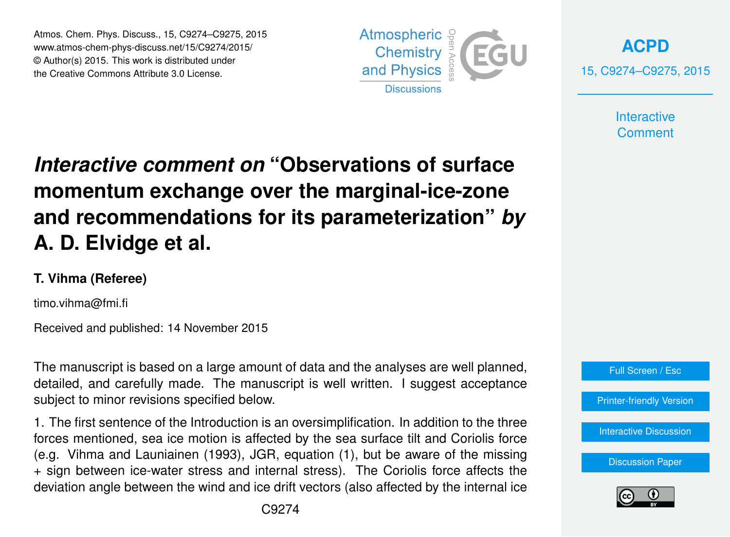Atmos. Chem. Phys. Discuss., 15, C9274–C9275, 2015 www.atmos-chem-phys-discuss.net/15/C9274/2015/ © Author(s) 2015. This work is distributed under the Creative Commons Attribute 3.0 License.





**Interactive Comment** 

## *Interactive comment on* **"Observations of surface momentum exchange over the marginal-ice-zone and recommendations for its parameterization"** *by* **A. D. Elvidge et al.**

## **T. Vihma (Referee)**

timo.vihma@fmi.fi

Received and published: 14 November 2015

The manuscript is based on a large amount of data and the analyses are well planned, detailed, and carefully made. The manuscript is well written. I suggest acceptance subject to minor revisions specified below.

1. The first sentence of the Introduction is an oversimplification. In addition to the three forces mentioned, sea ice motion is affected by the sea surface tilt and Coriolis force (e.g. Vihma and Launiainen (1993), JGR, equation (1), but be aware of the missing + sign between ice-water stress and internal stress). The Coriolis force affects the deviation angle between the wind and ice drift vectors (also affected by the internal ice



[Discussion Paper](http://www.atmos-chem-phys-discuss.net/15/26609/2015/acpd-15-26609-2015.pdf)